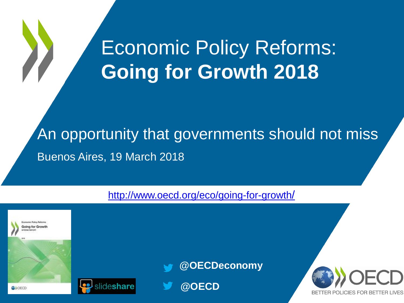# Economic Policy Reforms: **Going for Growth 2018**

An opportunity that governments should not miss Buenos Aires, 19 March 2018

#### [http://www.oecd.org/eco/going-for-growth](http://www.oecd.org/eco/going-for-growth/)[/](http://www.oecd.org/eco/going-for-growth/)

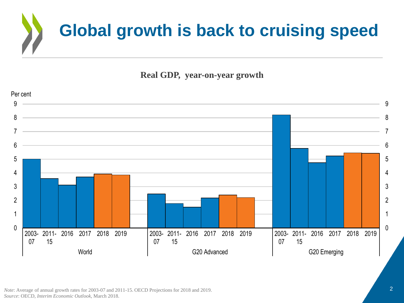

**Real GDP, year-on-year growth**



*Note*: Average of annual growth rates for 2003-07 and 2011-15. OECD Projections for 2018 and 2019. *Source*: OECD, *Interim Economic Outlook,* March 2018.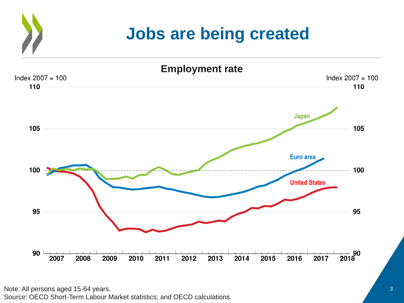### **Jobs are being created Employment rate** Index  $2007 = 100$ Index  $2007 = 100$ **JapanEuro area**  $100 -$ **United States**

Note: All persons aged 15-64 years. Source: OECD Short-Term Labour Market statistics; and OECD calculations.

 $\frac{1}{2018}$  90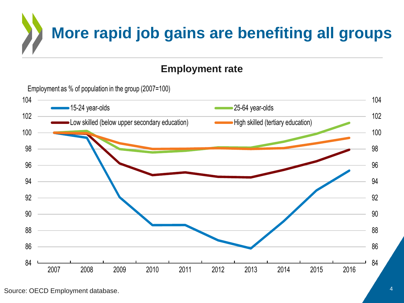

### **Employment rate**

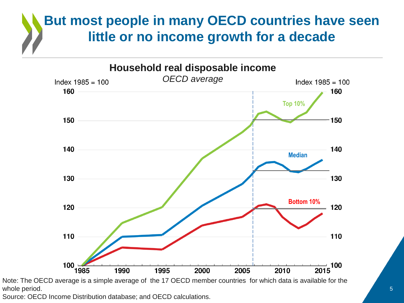### **But most people in many OECD countries have seen little or no income growth for a decade**



Note: The OECD average is a simple average of the 17 OECD member countries for which data is available for the whole period.

Source: OECD Income Distribution database; and OECD calculations.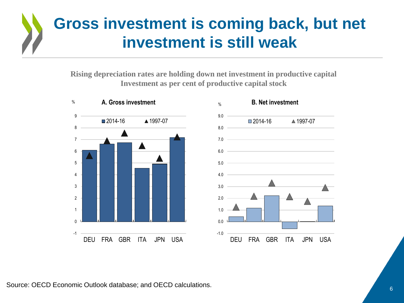## **Gross investment is coming back, but net investment is still weak**

**Rising depreciation rates are holding down net investment in productive capital Investment as per cent of productive capital stock**



Source: OECD Economic Outlook database; and OECD calculations.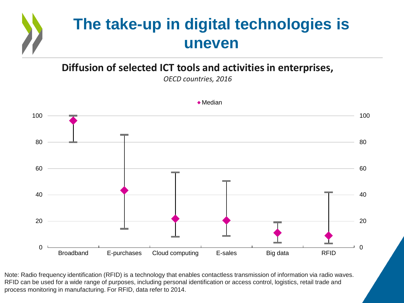

### **Diffusion of selected ICT tools and activities in enterprises,**

*OECD countries, 2016*



◆ Median

Note: Radio frequency identification (RFID) is a technology that enables contactless transmission of information via radio waves. RFID can be used for a wide range of purposes, including personal identification or access control, logistics, retail trade and process monitoring in manufacturing. For RFID, data refer to 2014.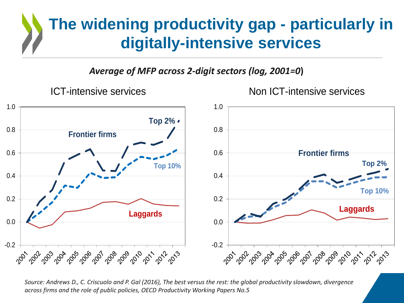## **The widening productivity gap - particularly in digitally-intensive services**

*Average of MFP across 2-digit sectors (log, 2001=0***)**



*Source: Andrews D., C. Criscuolo and P. Gal (2016), The best versus the rest: the global productivity slowdown, divergence across firms and the role of public policies, OECD Productivity Working Papers No.5*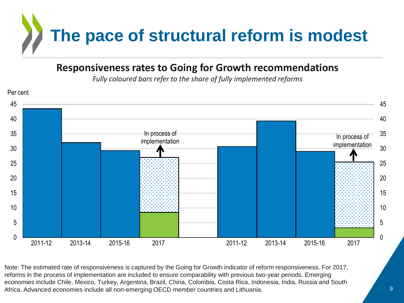

### **Responsiveness rates to Going for Growth recommendations**

*Fully coloured bars refer to the share of fully implemented reforms*



Note: The estimated rate of responsiveness is captured by the Going for Growth indicator of reform responsiveness. For 2017, reforms in the process of implementation are included to ensure comparability with previous two-year periods. Emerging economies include Chile, Mexico, Turkey, Argentina, Brazil, China, Colombia, Costa Rica, Indonesia, India, Russia and South Africa. Advanced economies include all non-emerging OECD member countries and Lithuania.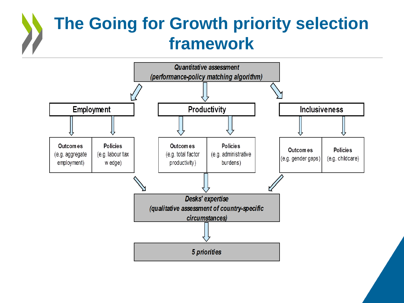# **The Going for Growth priority selection framework**

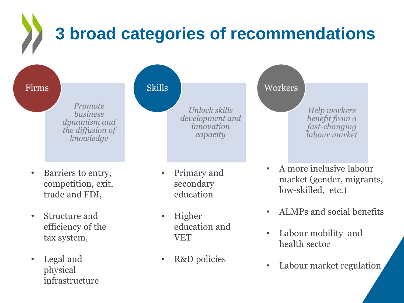# **3 broad categories of recommendations**



• Legal and physical infrastructure

• Labour market regulation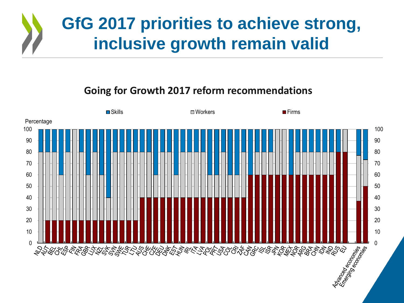

### **Going for Growth 2017 reform recommendations**

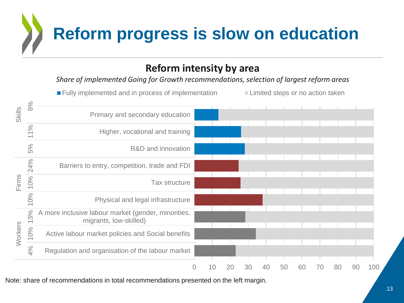

### **Reform intensity by area**

*Share of implemented Going for Growth recommendations, selection of largest reform areas*



Note: share of recommendations in total recommendations presented on the left margin.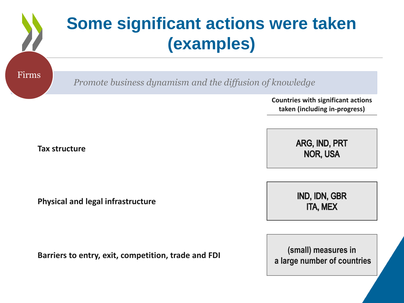# **Some significant actions were taken (examples)**  *Promote business dynamism and the diffusion of knowledge* Firms

**Countries with significant actions taken (including in-progress)**

**Tax structure**

**Physical and legal infrastructure**

**Barriers to entry, exit, competition, trade and FDI (small) measures in**

ARG, IND, PRT **NOR, USA** 

IND, IDN, GBR **ITA, MEX** 

**a large number of countries**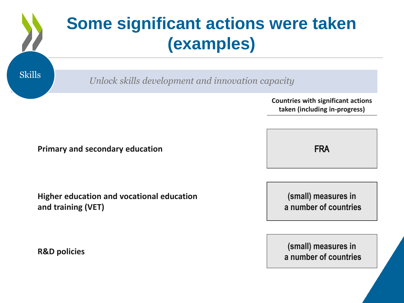|               | <b>Some significant actions were taken</b><br>(examples)                   |  |
|---------------|----------------------------------------------------------------------------|--|
| <b>Skills</b> | Unlock skills development and innovation capacity                          |  |
|               | <b>Countries with significant actions</b><br>taken (including in-progress) |  |

**Primary and secondary education**

**Higher education and vocational education and training (VET)**

**FRA** 

**(small) measures in a number of countries**

**R&D policies (small)** measures in **a number of countries**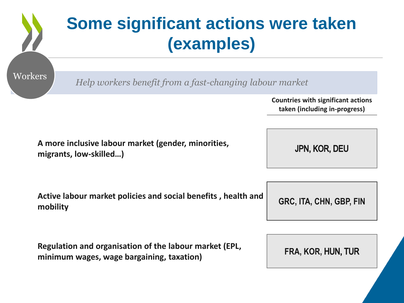|                                                                               | <b>Some significant actions were taken</b><br>(examples)                                            |                                                                            |  |
|-------------------------------------------------------------------------------|-----------------------------------------------------------------------------------------------------|----------------------------------------------------------------------------|--|
| Workers                                                                       | Help workers benefit from a fast-changing labour market                                             |                                                                            |  |
|                                                                               |                                                                                                     | <b>Countries with significant actions</b><br>taken (including in-progress) |  |
| A more inclusive labour market (gender, minorities,<br>migrants, low-skilled) |                                                                                                     | JPN, KOR, DEU                                                              |  |
| mobility                                                                      | Active labour market policies and social benefits, health and                                       | GRC, ITA, CHN, GBP, FIN                                                    |  |
|                                                                               | Regulation and organisation of the labour market (EPL,<br>minimum wages, wage bargaining, taxation) | FRA, KOR, HUN, TUR                                                         |  |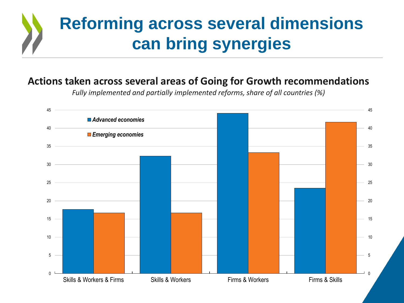# **Reforming across several dimensions can bring synergies**

### **Actions taken across several areas of Going for Growth recommendations**

*Fully implemented and partially implemented reforms, share of all countries (%)*

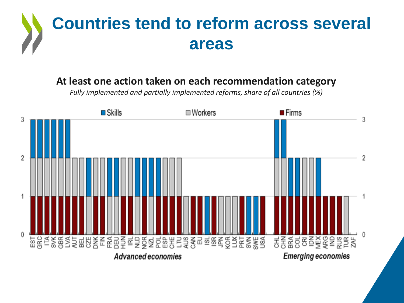

### **At least one action taken on each recommendation category**

*Fully implemented and partially implemented reforms, share of all countries (%)*

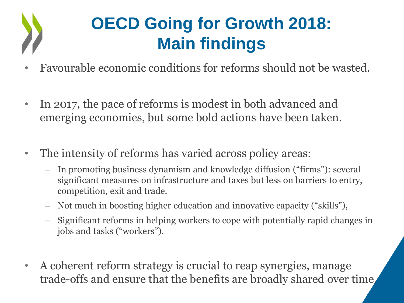

# **OECD Going for Growth 2018: Main findings**

- Favourable economic conditions for reforms should not be wasted.
- In 2017, the pace of reforms is modest in both advanced and emerging economies, but some bold actions have been taken.
- The intensity of reforms has varied across policy areas:
	- In promoting business dynamism and knowledge diffusion ("firms"): several significant measures on infrastructure and taxes but less on barriers to entry, competition, exit and trade.
	- Not much in boosting higher education and innovative capacity ("skills"),
	- Significant reforms in helping workers to cope with potentially rapid changes in jobs and tasks ("workers").
- A coherent reform strategy is crucial to reap synergies, manage trade-offs and ensure that the benefits are broadly shared over time.